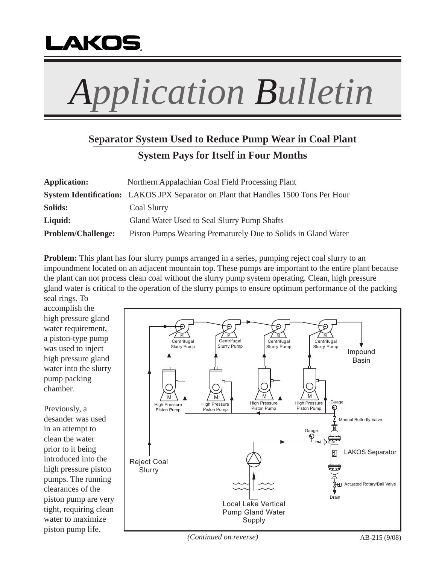

## *Application Bulletin*

## **Separator System Used to Reduce Pump Wear in Coal Plant System Pays for Itself in Four Months**

| <b>Application:</b>       | Northern Appalachian Coal Field Processing Plant                                    |
|---------------------------|-------------------------------------------------------------------------------------|
|                           | System Identification: LAKOS JPX Separator on Plant that Handles 1500 Tons Per Hour |
| Solids:                   | Coal Slurry                                                                         |
| Liquid:                   | Gland Water Used to Seal Slurry Pump Shafts                                         |
| <b>Problem/Challenge:</b> | Piston Pumps Wearing Prematurely Due to Solids in Gland Water                       |

**Problem:** This plant has four slurry pumps arranged in a series, pumping reject coal slurry to an impoundment located on an adjacent mountain top. These pumps are important to the entire plant because the plant can not process clean coal without the slurry pump system operating. Clean, high pressure gland water is critical to the operation of the slurry pumps to ensure optimum performance of the packing

seal rings. To accomplish the high pressure gland water requirement, a piston-type pump was used to inject high pressure gland water into the slurry pump packing chamber.

Previously, a desander was used in an attempt to clean the water prior to it being introduced into the high pressure piston pumps. The running clearances of the piston pump are very tight, requiring clean water to maximize piston pump life.